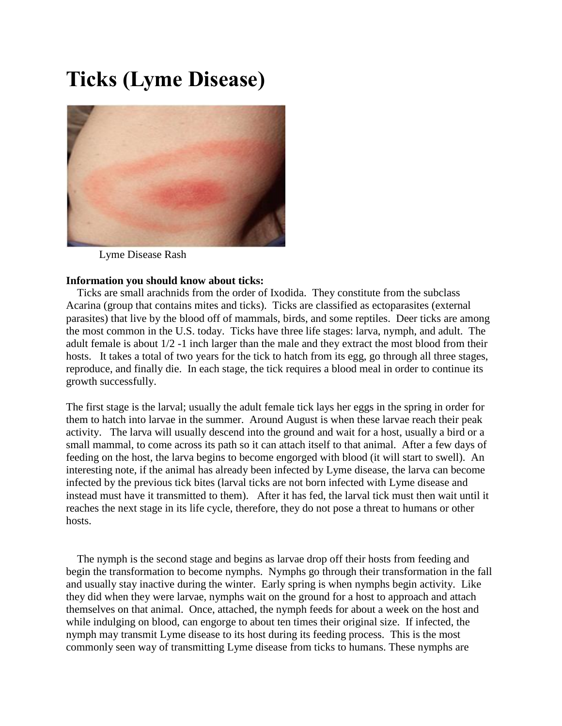# **Ticks (Lyme Disease)**



Lyme Disease Rash

## **Information you should know about ticks:**

 Ticks are small arachnids from the order of Ixodida. They constitute from the subclass Acarina (group that contains mites and ticks). Ticks are classified as ectoparasites (external parasites) that live by the blood off of mammals, birds, and some reptiles. Deer ticks are among the most common in the U.S. today. Ticks have three life stages: larva, nymph, and adult. The adult female is about 1/2 -1 inch larger than the male and they extract the most blood from their hosts. It takes a total of two years for the tick to hatch from its egg, go through all three stages, reproduce, and finally die. In each stage, the tick requires a blood meal in order to continue its growth successfully.

The first stage is the larval; usually the adult female tick lays her eggs in the spring in order for them to hatch into larvae in the summer. Around August is when these larvae reach their peak activity. The larva will usually descend into the ground and wait for a host, usually a bird or a small mammal, to come across its path so it can attach itself to that animal. After a few days of feeding on the host, the larva begins to become engorged with blood (it will start to swell). An interesting note, if the animal has already been infected by Lyme disease, the larva can become infected by the previous tick bites (larval ticks are not born infected with Lyme disease and instead must have it transmitted to them). After it has fed, the larval tick must then wait until it reaches the next stage in its life cycle, therefore, they do not pose a threat to humans or other hosts.

 The nymph is the second stage and begins as larvae drop off their hosts from feeding and begin the transformation to become nymphs. Nymphs go through their transformation in the fall and usually stay inactive during the winter. Early spring is when nymphs begin activity. Like they did when they were larvae, nymphs wait on the ground for a host to approach and attach themselves on that animal. Once, attached, the nymph feeds for about a week on the host and while indulging on blood, can engorge to about ten times their original size. If infected, the nymph may transmit Lyme disease to its host during its feeding process. This is the most commonly seen way of transmitting Lyme disease from ticks to humans. These nymphs are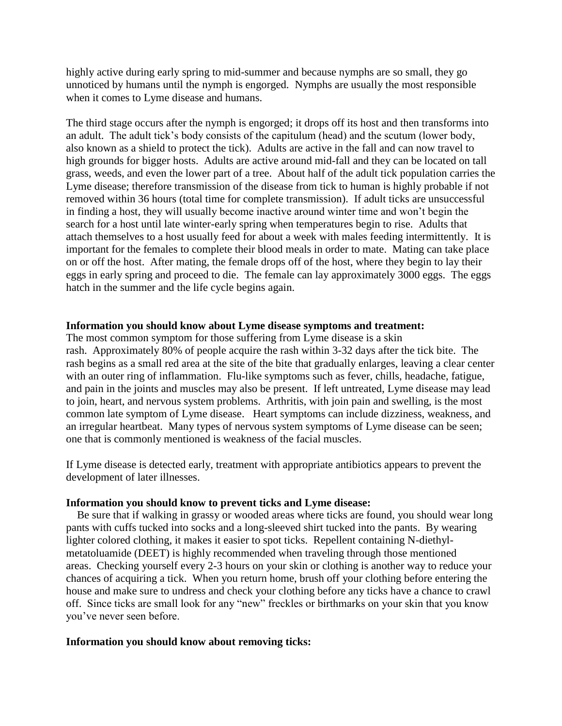highly active during early spring to mid-summer and because nymphs are so small, they go unnoticed by humans until the nymph is engorged. Nymphs are usually the most responsible when it comes to Lyme disease and humans.

The third stage occurs after the nymph is engorged; it drops off its host and then transforms into an adult. The adult tick's body consists of the capitulum (head) and the scutum (lower body, also known as a shield to protect the tick). Adults are active in the fall and can now travel to high grounds for bigger hosts. Adults are active around mid-fall and they can be located on tall grass, weeds, and even the lower part of a tree. About half of the adult tick population carries the Lyme disease; therefore transmission of the disease from tick to human is highly probable if not removed within 36 hours (total time for complete transmission). If adult ticks are unsuccessful in finding a host, they will usually become inactive around winter time and won't begin the search for a host until late winter-early spring when temperatures begin to rise. Adults that attach themselves to a host usually feed for about a week with males feeding intermittently. It is important for the females to complete their blood meals in order to mate. Mating can take place on or off the host. After mating, the female drops off of the host, where they begin to lay their eggs in early spring and proceed to die. The female can lay approximately 3000 eggs. The eggs hatch in the summer and the life cycle begins again.

#### **Information you should know about Lyme disease symptoms and treatment:**

The most common symptom for those suffering from Lyme disease is a skin rash. Approximately 80% of people acquire the rash within 3-32 days after the tick bite. The rash begins as a small red area at the site of the bite that gradually enlarges, leaving a clear center with an outer ring of inflammation. Flu-like symptoms such as fever, chills, headache, fatigue, and pain in the joints and muscles may also be present. If left untreated, Lyme disease may lead to join, heart, and nervous system problems. Arthritis, with join pain and swelling, is the most common late symptom of Lyme disease. Heart symptoms can include dizziness, weakness, and an irregular heartbeat. Many types of nervous system symptoms of Lyme disease can be seen; one that is commonly mentioned is weakness of the facial muscles.

If Lyme disease is detected early, treatment with appropriate antibiotics appears to prevent the development of later illnesses.

### **Information you should know to prevent ticks and Lyme disease:**

 Be sure that if walking in grassy or wooded areas where ticks are found, you should wear long pants with cuffs tucked into socks and a long-sleeved shirt tucked into the pants. By wearing lighter colored clothing, it makes it easier to spot ticks. Repellent containing N-diethylmetatoluamide (DEET) is highly recommended when traveling through those mentioned areas. Checking yourself every 2-3 hours on your skin or clothing is another way to reduce your chances of acquiring a tick. When you return home, brush off your clothing before entering the house and make sure to undress and check your clothing before any ticks have a chance to crawl off. Since ticks are small look for any "new" freckles or birthmarks on your skin that you know you've never seen before.

#### **Information you should know about removing ticks:**